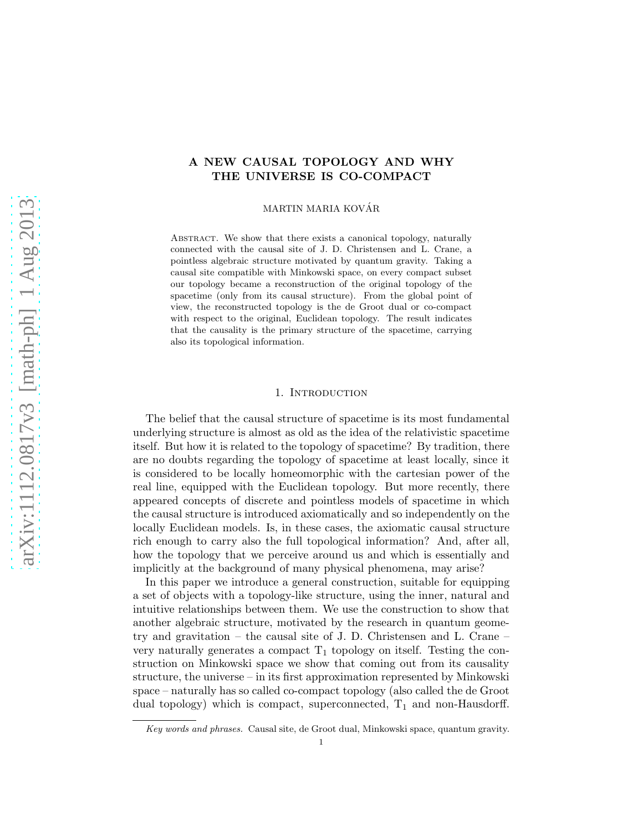# A NEW CAUSAL TOPOLOGY AND WHY THE UNIVERSE IS CO-COMPACT

MARTIN MARIA KOVÁR

ABSTRACT. We show that there exists a canonical topology, naturally connected with the causal site of J. D. Christensen and L. Crane, a pointless algebraic structure motivated by quantum gravity. Taking a causal site compatible with Minkowski space, on every compact subset our topology became a reconstruction of the original topology of the spacetime (only from its causal structure). From the global point of view, the reconstructed topology is the de Groot dual or co-compact with respect to the original, Euclidean topology. The result indicates that the causality is the primary structure of the spacetime, carrying also its topological information.

### 1. INTRODUCTION

The belief that the causal structure of spacetime is its most fundamental underlying structure is almost as old as the idea of the relativistic spacetime itself. But how it is related to the topology of spacetime? By tradition, there are no doubts regarding the topology of spacetime at least locally, since it is considered to be locally homeomorphic with the cartesian power of the real line, equipped with the Euclidean topology. But more recently, there appeared concepts of discrete and pointless models of spacetime in which the causal structure is introduced axiomatically and so independently on the locally Euclidean models. Is, in these cases, the axiomatic causal structure rich enough to carry also the full topological information? And, after all, how the topology that we perceive around us and which is essentially and implicitly at the background of many physical phenomena, may arise?

In this paper we introduce a general construction, suitable for equipping a set of objects with a topology-like structure, using the inner, natural and intuitive relationships between them. We use the construction to show that another algebraic structure, motivated by the research in quantum geometry and gravitation – the causal site of J. D. Christensen and L. Crane – very naturally generates a compact  $T_1$  topology on itself. Testing the construction on Minkowski space we show that coming out from its causality structure, the universe – in its first approximation represented by Minkowski space – naturally has so called co-compact topology (also called the de Groot dual topology) which is compact, superconnected,  $T_1$  and non-Hausdorff.

Key words and phrases. Causal site, de Groot dual, Minkowski space, quantum gravity.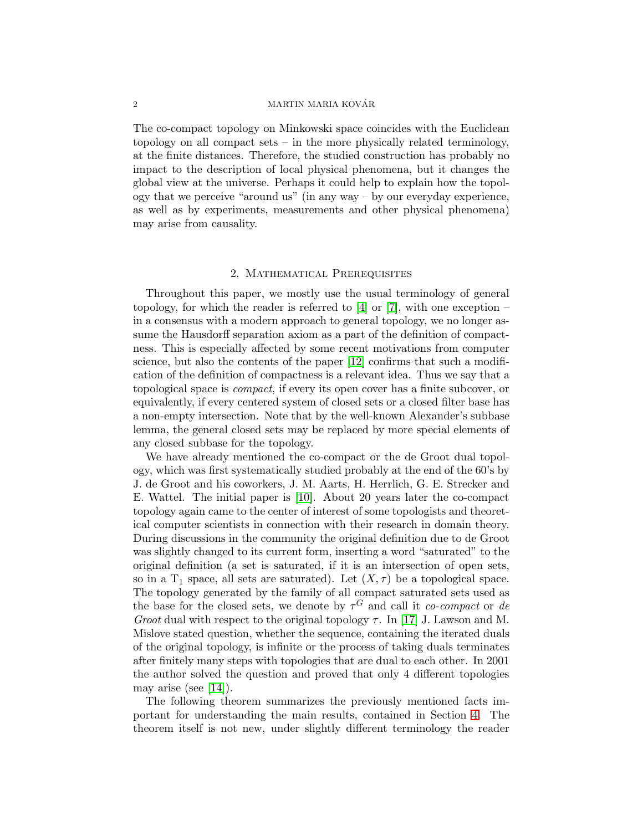### $\begin{array}{c} \text{MARTIN MARIA KOVÁR} \end{array}$

The co-compact topology on Minkowski space coincides with the Euclidean topology on all compact sets – in the more physically related terminology, at the finite distances. Therefore, the studied construction has probably no impact to the description of local physical phenomena, but it changes the global view at the universe. Perhaps it could help to explain how the topology that we perceive "around us" (in any way – by our everyday experience, as well as by experiments, measurements and other physical phenomena) may arise from causality.

#### 2. Mathematical Prerequisites

<span id="page-1-0"></span>Throughout this paper, we mostly use the usual terminology of general topology, for which the reader is referred to [\[4\]](#page-14-0) or [\[7\]](#page-14-1), with one exception – in a consensus with a modern approach to general topology, we no longer assume the Hausdorff separation axiom as a part of the definition of compactness. This is especially affected by some recent motivations from computer science, but also the contents of the paper [\[12\]](#page-14-2) confirms that such a modification of the definition of compactness is a relevant idea. Thus we say that a topological space is compact, if every its open cover has a finite subcover, or equivalently, if every centered system of closed sets or a closed filter base has a non-empty intersection. Note that by the well-known Alexander's subbase lemma, the general closed sets may be replaced by more special elements of any closed subbase for the topology.

We have already mentioned the co-compact or the de Groot dual topology, which was first systematically studied probably at the end of the 60's by J. de Groot and his coworkers, J. M. Aarts, H. Herrlich, G. E. Strecker and E. Wattel. The initial paper is [\[10\]](#page-14-3). About 20 years later the co-compact topology again came to the center of interest of some topologists and theoretical computer scientists in connection with their research in domain theory. During discussions in the community the original definition due to de Groot was slightly changed to its current form, inserting a word "saturated" to the original definition (a set is saturated, if it is an intersection of open sets, so in a T<sub>1</sub> space, all sets are saturated). Let  $(X, \tau)$  be a topological space. The topology generated by the family of all compact saturated sets used as the base for the closed sets, we denote by  $\tau$ <sup>G</sup> and call it *co-compact* or de Groot dual with respect to the original topology  $\tau$ . In [\[17\]](#page-14-4) J. Lawson and M. Mislove stated question, whether the sequence, containing the iterated duals of the original topology, is infinite or the process of taking duals terminates after finitely many steps with topologies that are dual to each other. In 2001 the author solved the question and proved that only 4 different topologies may arise (see [\[14\]](#page-14-5)).

The following theorem summarizes the previously mentioned facts important for understanding the main results, contained in Section [4.](#page-5-0) The theorem itself is not new, under slightly different terminology the reader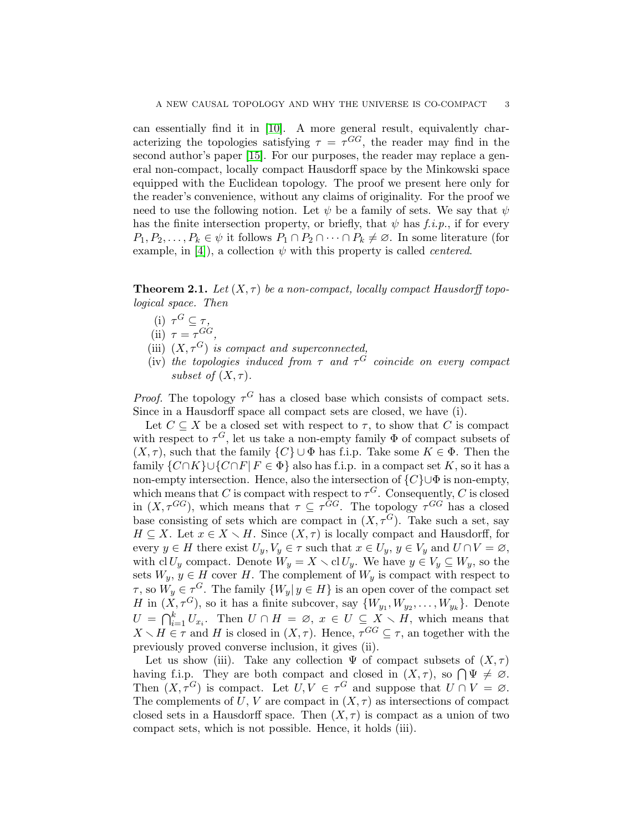can essentially find it in [\[10\]](#page-14-3). A more general result, equivalently characterizing the topologies satisfying  $\tau = \tau^{GG}$ , the reader may find in the second author's paper [\[15\]](#page-14-6). For our purposes, the reader may replace a general non-compact, locally compact Hausdorff space by the Minkowski space equipped with the Euclidean topology. The proof we present here only for the reader's convenience, without any claims of originality. For the proof we need to use the following notion. Let  $\psi$  be a family of sets. We say that  $\psi$ has the finite intersection property, or briefly, that  $\psi$  has f.i.p., if for every  $P_1, P_2, \ldots, P_k \in \psi$  it follows  $P_1 \cap P_2 \cap \cdots \cap P_k \neq \emptyset$ . In some literature (for example, in [\[4\]](#page-14-0)), a collection  $\psi$  with this property is called *centered*.

**Theorem 2.1.** Let  $(X, \tau)$  be a non-compact, locally compact Hausdorff topological space. Then

- (i)  $\tau^G \subseteq \tau$ ,
- (ii)  $\tau = \tau^{GG},$
- (iii)  $(X, \tau^G)$  is compact and superconnected,
- (iv) the topologies induced from  $\tau$  and  $\tau$ <sup>G</sup> coincide on every compact subset of  $(X, \tau)$ .

*Proof.* The topology  $\tau$ <sup>G</sup> has a closed base which consists of compact sets. Since in a Hausdorff space all compact sets are closed, we have (i).

Let  $C \subseteq X$  be a closed set with respect to  $\tau$ , to show that C is compact with respect to  $\tau^G$ , let us take a non-empty family  $\Phi$  of compact subsets of  $(X, \tau)$ , such that the family  $\{C\} \cup \Phi$  has f.i.p. Take some  $K \in \Phi$ . Then the family  $\{C \cap K\} \cup \{C \cap F | F \in \Phi\}$  also has f.i.p. in a compact set K, so it has a non-empty intersection. Hence, also the intersection of  $\{C\} \cup \Phi$  is non-empty, which means that C is compact with respect to  $\tau^G$ . Consequently, C is closed in  $(X, \tau^{GG})$ , which means that  $\tau \subseteq \tau^{GG}$ . The topology  $\tau^{GG}$  has a closed base consisting of sets which are compact in  $(X, \tau^G)$ . Take such a set, say  $H \subseteq X$ . Let  $x \in X \setminus H$ . Since  $(X, \tau)$  is locally compact and Hausdorff, for every  $y \in H$  there exist  $U_y, V_y \in \tau$  such that  $x \in U_y$ ,  $y \in V_y$  and  $U \cap V = \varnothing$ , with cl  $U_y$  compact. Denote  $W_y = X \setminus \text{cl } U_y$ . We have  $y \in V_y \subseteq W_y$ , so the sets  $W_y, y \in H$  cover H. The complement of  $W_y$  is compact with respect to  $\tau$ , so  $W_y \in \tau^G$ . The family  $\{W_y | y \in H\}$  is an open cover of the compact set H in  $(X, \tau^G)$ , so it has a finite subcover, say  $\{W_{y_1}, W_{y_2}, \ldots, W_{y_k}\}$ . Denote  $U = \bigcap_{i=1}^k U_{x_i}$ . Then  $U \cap H = \emptyset$ ,  $x \in U \subseteq X \setminus H$ , which means that  $X \setminus H \in \tau$  and H is closed in  $(X, \tau)$ . Hence,  $\tau^{GG} \subseteq \tau$ , an together with the previously proved converse inclusion, it gives (ii).

Let us show (iii). Take any collection  $\Psi$  of compact subsets of  $(X, \tau)$ having f.i.p. They are both compact and closed in  $(X, \tau)$ , so  $\bigcap \Psi \neq \emptyset$ . Then  $(X, \tau^G)$  is compact. Let  $U, V \in \tau^G$  and suppose that  $U \cap V = \emptyset$ . The complements of U, V are compact in  $(X, \tau)$  as intersections of compact closed sets in a Hausdorff space. Then  $(X, \tau)$  is compact as a union of two compact sets, which is not possible. Hence, it holds (iii).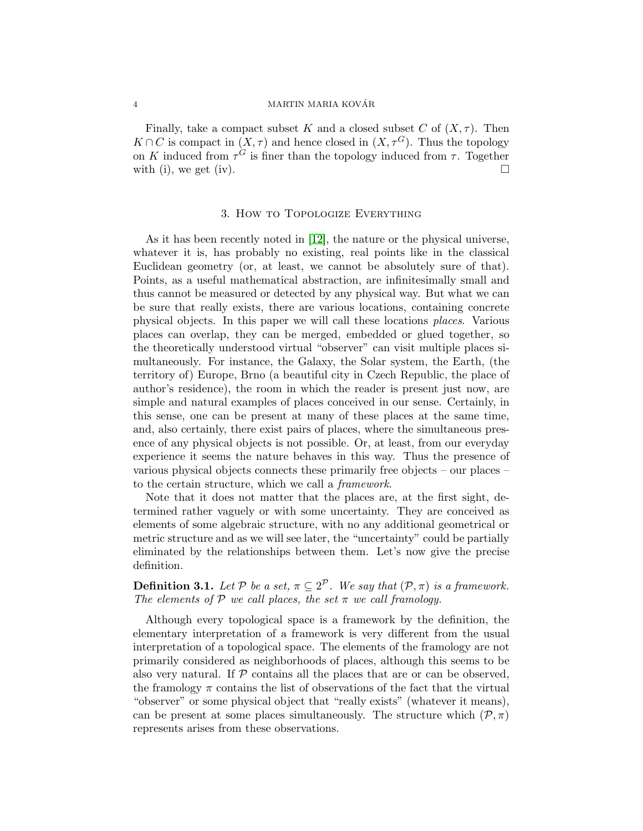### 4 MARTIN MARIA KOVÁR

Finally, take a compact subset K and a closed subset C of  $(X, \tau)$ . Then  $K \cap C$  is compact in  $(X, \tau)$  and hence closed in  $(X, \tau^G)$ . Thus the topology on K induced from  $\tau^G$  is finer than the topology induced from  $\tau$ . Together with (i), we get (iv).

## 3. How to Topologize Everything

As it has been recently noted in [\[12\]](#page-14-2), the nature or the physical universe, whatever it is, has probably no existing, real points like in the classical Euclidean geometry (or, at least, we cannot be absolutely sure of that). Points, as a useful mathematical abstraction, are infinitesimally small and thus cannot be measured or detected by any physical way. But what we can be sure that really exists, there are various locations, containing concrete physical objects. In this paper we will call these locations places. Various places can overlap, they can be merged, embedded or glued together, so the theoretically understood virtual "observer" can visit multiple places simultaneously. For instance, the Galaxy, the Solar system, the Earth, (the territory of) Europe, Brno (a beautiful city in Czech Republic, the place of author's residence), the room in which the reader is present just now, are simple and natural examples of places conceived in our sense. Certainly, in this sense, one can be present at many of these places at the same time, and, also certainly, there exist pairs of places, where the simultaneous presence of any physical objects is not possible. Or, at least, from our everyday experience it seems the nature behaves in this way. Thus the presence of various physical objects connects these primarily free objects – our places – to the certain structure, which we call a framework.

Note that it does not matter that the places are, at the first sight, determined rather vaguely or with some uncertainty. They are conceived as elements of some algebraic structure, with no any additional geometrical or metric structure and as we will see later, the "uncertainty" could be partially eliminated by the relationships between them. Let's now give the precise definition.

**Definition 3.1.** Let P be a set,  $\pi \subseteq 2^{\mathcal{P}}$ . We say that  $(\mathcal{P}, \pi)$  is a framework. The elements of P we call places, the set  $\pi$  we call framology.

Although every topological space is a framework by the definition, the elementary interpretation of a framework is very different from the usual interpretation of a topological space. The elements of the framology are not primarily considered as neighborhoods of places, although this seems to be also very natural. If  $P$  contains all the places that are or can be observed, the framology  $\pi$  contains the list of observations of the fact that the virtual "observer" or some physical object that "really exists" (whatever it means), can be present at some places simultaneously. The structure which  $(\mathcal{P}, \pi)$ represents arises from these observations.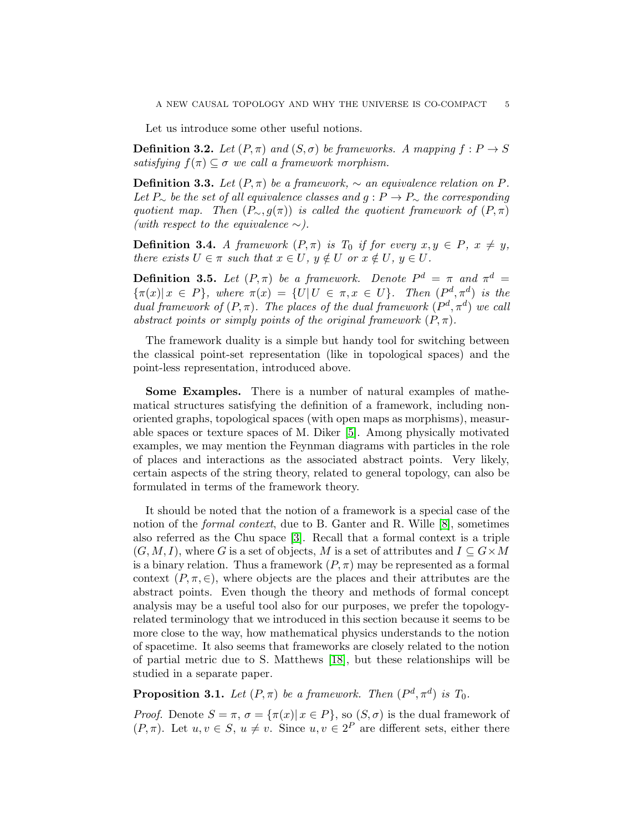Let us introduce some other useful notions.

**Definition 3.2.** Let  $(P, \pi)$  and  $(S, \sigma)$  be frameworks. A mapping  $f : P \to S$ satisfying  $f(\pi) \subset \sigma$  we call a framework morphism.

**Definition 3.3.** Let  $(P, \pi)$  be a framework,  $\sim$  an equivalence relation on P. Let P∼ be the set of all equivalence classes and  $g: P \to P_{\sim}$  the corresponding quotient map. Then  $(P_{\sim}, g(\pi))$  is called the quotient framework of  $(P, \pi)$ (with respect to the equivalence  $\sim$ ).

**Definition 3.4.** A framework  $(P, \pi)$  is  $T_0$  if for every  $x, y \in P$ ,  $x \neq y$ , there exists  $U \in \pi$  such that  $x \in U$ ,  $y \notin U$  or  $x \notin U$ ,  $y \in U$ .

**Definition 3.5.** Let  $(P, \pi)$  be a framework. Denote  $P^d = \pi$  and  $\pi^d =$  $\{\pi(x)|x \in P\}$ , where  $\pi(x) = \{U|U \in \pi, x \in U\}$ . Then  $(P^d, \pi^d)$  is the dual framework of  $(P, \pi)$ . The places of the dual framework  $(P^d, \pi^d)$  we call abstract points or simply points of the original framework  $(P, \pi)$ .

The framework duality is a simple but handy tool for switching between the classical point-set representation (like in topological spaces) and the point-less representation, introduced above.

Some Examples. There is a number of natural examples of mathematical structures satisfying the definition of a framework, including nonoriented graphs, topological spaces (with open maps as morphisms), measurable spaces or texture spaces of M. Diker [\[5\]](#page-14-7). Among physically motivated examples, we may mention the Feynman diagrams with particles in the role of places and interactions as the associated abstract points. Very likely, certain aspects of the string theory, related to general topology, can also be formulated in terms of the framework theory.

It should be noted that the notion of a framework is a special case of the notion of the *formal context*, due to B. Ganter and R. Wille [\[8\]](#page-14-8), sometimes also referred as the Chu space [\[3\]](#page-14-9). Recall that a formal context is a triple  $(G, M, I)$ , where G is a set of objects, M is a set of attributes and  $I \subseteq G \times M$ is a binary relation. Thus a framework  $(P, \pi)$  may be represented as a formal context  $(P, \pi, \in)$ , where objects are the places and their attributes are the abstract points. Even though the theory and methods of formal concept analysis may be a useful tool also for our purposes, we prefer the topologyrelated terminology that we introduced in this section because it seems to be more close to the way, how mathematical physics understands to the notion of spacetime. It also seems that frameworks are closely related to the notion of partial metric due to S. Matthews [\[18\]](#page-14-10), but these relationships will be studied in a separate paper.

# **Proposition 3.1.** Let  $(P, \pi)$  be a framework. Then  $(P^d, \pi^d)$  is  $T_0$ .

*Proof.* Denote  $S = \pi$ ,  $\sigma = {\pi(x) | x \in P}$ , so  $(S, \sigma)$  is the dual framework of  $(P, \pi)$ . Let  $u, v \in S$ ,  $u \neq v$ . Since  $u, v \in 2^P$  are different sets, either there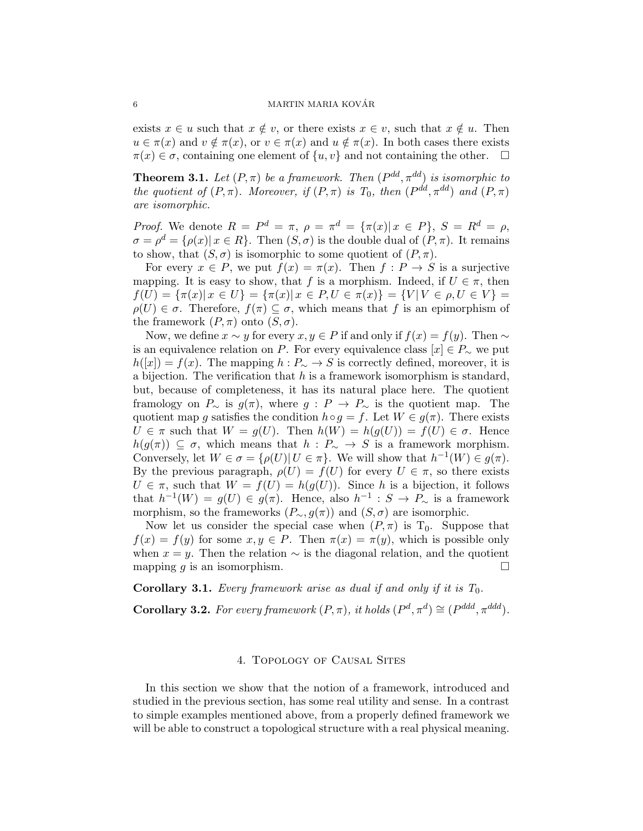exists  $x \in u$  such that  $x \notin v$ , or there exists  $x \in v$ , such that  $x \notin u$ . Then  $u \in \pi(x)$  and  $v \notin \pi(x)$ , or  $v \in \pi(x)$  and  $u \notin \pi(x)$ . In both cases there exists  $\pi(x) \in \sigma$ , containing one element of  $\{u, v\}$  and not containing the other.  $\Box$ 

**Theorem 3.1.** Let  $(P, \pi)$  be a framework. Then  $(P^{dd}, \pi^{dd})$  is isomorphic to the quotient of  $(P, \pi)$ . Moreover, if  $(P, \pi)$  is  $T_0$ , then  $(P^{dd}, \pi^{dd})$  and  $(P, \pi)$ are isomorphic.

*Proof.* We denote  $R = P^d = \pi$ ,  $\rho = \pi^d = {\pi(x) | x \in P}$ ,  $S = R^d = \rho$ ,  $\sigma = \rho^d = {\rho(x) | x \in R}.$  Then  $(S, \sigma)$  is the double dual of  $(P, \pi)$ . It remains to show, that  $(S, \sigma)$  is isomorphic to some quotient of  $(P, \pi)$ .

For every  $x \in P$ , we put  $f(x) = \pi(x)$ . Then  $f : P \to S$  is a surjective mapping. It is easy to show, that f is a morphism. Indeed, if  $U \in \pi$ , then  $f(U) = {\pi(x) | x \in U} = {\pi(x) | x \in P, U \in \pi(x)} = {V | V \in \rho, U \in V}$  $\rho(U) \in \sigma$ . Therefore,  $f(\pi) \subseteq \sigma$ , which means that f is an epimorphism of the framework  $(P, \pi)$  onto  $(S, \sigma)$ .

Now, we define  $x \sim y$  for every  $x, y \in P$  if and only if  $f(x) = f(y)$ . Then  $\sim$ is an equivalence relation on P. For every equivalence class  $[x] \in P_{\sim}$  we put  $h([x]) = f(x)$ . The mapping  $h : P_{\sim} \to S$  is correctly defined, moreover, it is a bijection. The verification that  $h$  is a framework isomorphism is standard, but, because of completeness, it has its natural place here. The quotient framology on  $P_{\sim}$  is  $g(\pi)$ , where  $g : P \to P_{\sim}$  is the quotient map. The quotient map g satisfies the condition  $h \circ q = f$ . Let  $W \in q(\pi)$ . There exists  $U \in \pi$  such that  $W = g(U)$ . Then  $h(W) = h(g(U)) = f(U) \in \sigma$ . Hence  $h(g(\pi)) \subseteq \sigma$ , which means that  $h : P_{\sim} \to S$  is a framework morphism. Conversely, let  $W \in \sigma = {\rho(U) | U \in \pi}$ . We will show that  $h^{-1}(W) \in g(\pi)$ . By the previous paragraph,  $\rho(U) = f(U)$  for every  $U \in \pi$ , so there exists  $U \in \pi$ , such that  $W = f(U) = h(g(U))$ . Since h is a bijection, it follows that  $h^{-1}(W) = g(U) \in g(\pi)$ . Hence, also  $h^{-1} : S \to P_{\infty}$  is a framework morphism, so the frameworks  $(P_{\sim}, g(\pi))$  and  $(S, \sigma)$  are isomorphic.

Now let us consider the special case when  $(P, \pi)$  is T<sub>0</sub>. Suppose that  $f(x) = f(y)$  for some  $x, y \in P$ . Then  $\pi(x) = \pi(y)$ , which is possible only when  $x = y$ . Then the relation  $\sim$  is the diagonal relation, and the quotient mapping q is an isomorphism.

**Corollary 3.1.** Every framework arise as dual if and only if it is  $T_0$ .

**Corollary 3.2.** For every framework  $(P, \pi)$ , it holds  $(P^d, \pi^d) \cong (P^{ddd}, \pi^{ddd})$ .

#### 4. Topology of Causal Sites

<span id="page-5-0"></span>In this section we show that the notion of a framework, introduced and studied in the previous section, has some real utility and sense. In a contrast to simple examples mentioned above, from a properly defined framework we will be able to construct a topological structure with a real physical meaning.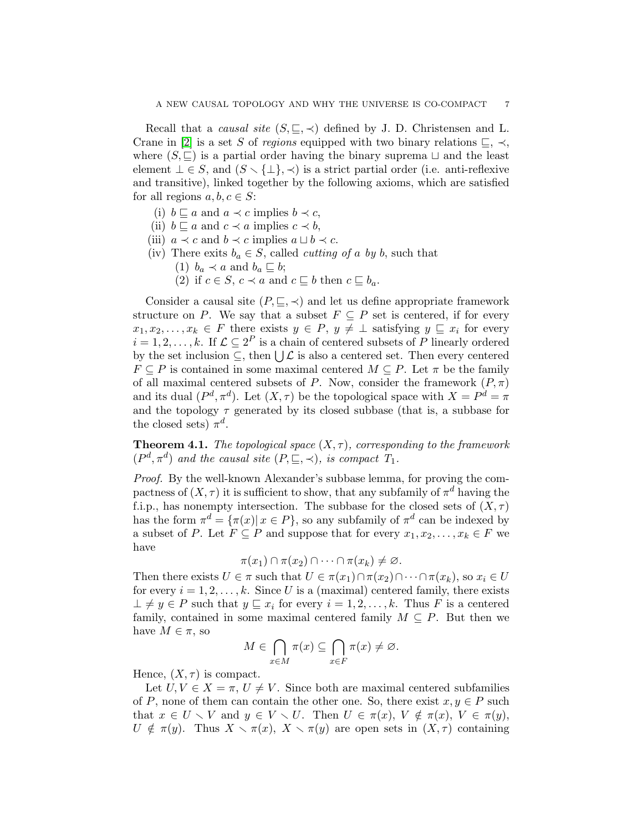Recall that a *causal site*  $(S, \subseteq, \prec)$  defined by J. D. Christensen and L. Crane in [\[2\]](#page-14-11) is a set S of regions equipped with two binary relations  $\sqsubset, \prec,$ where  $(S, \subseteq)$  is a partial order having the binary suprema  $\sqcup$  and the least element  $\bot \in S$ , and  $(S \setminus {\bot}, {\prec})$  is a strict partial order (i.e. anti-reflexive and transitive), linked together by the following axioms, which are satisfied for all regions  $a, b, c \in S$ :

- (i)  $b \sqsubseteq a$  and  $a \prec c$  implies  $b \prec c$ ,
- (ii)  $b \sqsubseteq a$  and  $c \prec a$  implies  $c \prec b$ ,
- (iii)  $a \prec c$  and  $b \prec c$  implies  $a \sqcup b \prec c$ .
- (iv) There exits  $b_a \in S$ , called *cutting of a by b*, such that
	- (1)  $b_a \prec a$  and  $b_a \sqsubseteq b$ ;
	- (2) if  $c \in S$ ,  $c \prec a$  and  $c \sqsubseteq b$  then  $c \sqsubseteq b_a$ .

Consider a causal site  $(P, \subseteq, \prec)$  and let us define appropriate framework structure on P. We say that a subset  $F \subseteq P$  set is centered, if for every  $x_1, x_2, \ldots, x_k \in F$  there exists  $y \in P$ ,  $y \neq \perp$  satisfying  $y \sqsubseteq x_i$  for every  $i = 1, 2, \ldots, k$ . If  $\mathcal{L} \subseteq 2^P$  is a chain of centered subsets of P linearly ordered by the set inclusion  $\subseteq$ , then  $\bigcup \mathcal{L}$  is also a centered set. Then every centered  $F \subseteq P$  is contained in some maximal centered  $M \subseteq P$ . Let  $\pi$  be the family of all maximal centered subsets of P. Now, consider the framework  $(P, \pi)$ and its dual  $(P^d, \pi^d)$ . Let  $(X, \tau)$  be the topological space with  $X = P^d = \pi$ and the topology  $\tau$  generated by its closed subbase (that is, a subbase for the closed sets)  $\pi^d$ .

<span id="page-6-0"></span>**Theorem 4.1.** The topological space  $(X, \tau)$ , corresponding to the framework  $(P^d, \pi^d)$  and the causal site  $(P, \subseteq, \prec)$ , is compact  $T_1$ .

Proof. By the well-known Alexander's subbase lemma, for proving the compactness of  $(X, \tau)$  it is sufficient to show, that any subfamily of  $\pi^d$  having the f.i.p., has nonempty intersection. The subbase for the closed sets of  $(X, \tau)$ has the form  $\pi^d = {\pi(x) | x \in P}$ , so any subfamily of  $\pi^d$  can be indexed by a subset of P. Let  $F \subseteq P$  and suppose that for every  $x_1, x_2, \ldots, x_k \in F$  we have

$$
\pi(x_1) \cap \pi(x_2) \cap \cdots \cap \pi(x_k) \neq \varnothing.
$$

Then there exists  $U \in \pi$  such that  $U \in \pi(x_1) \cap \pi(x_2) \cap \cdots \cap \pi(x_k)$ , so  $x_i \in U$ for every  $i = 1, 2, ..., k$ . Since U is a (maximal) centered family, there exists  $\bot \neq y \in P$  such that  $y \sqsubseteq x_i$  for every  $i = 1, 2, \ldots, k$ . Thus F is a centered family, contained in some maximal centered family  $M \subseteq P$ . But then we have  $M \in \pi$ , so

$$
M \in \bigcap_{x \in M} \pi(x) \subseteq \bigcap_{x \in F} \pi(x) \neq \varnothing.
$$

Hence,  $(X, \tau)$  is compact.

Let  $U, V \in X = \pi, U \neq V$ . Since both are maximal centered subfamilies of P, none of them can contain the other one. So, there exist  $x, y \in P$  such that  $x \in U \setminus V$  and  $y \in V \setminus U$ . Then  $U \in \pi(x)$ ,  $V \notin \pi(x)$ ,  $V \in \pi(y)$ ,  $U \notin \pi(y)$ . Thus  $X \setminus \pi(x)$ ,  $X \setminus \pi(y)$  are open sets in  $(X, \tau)$  containing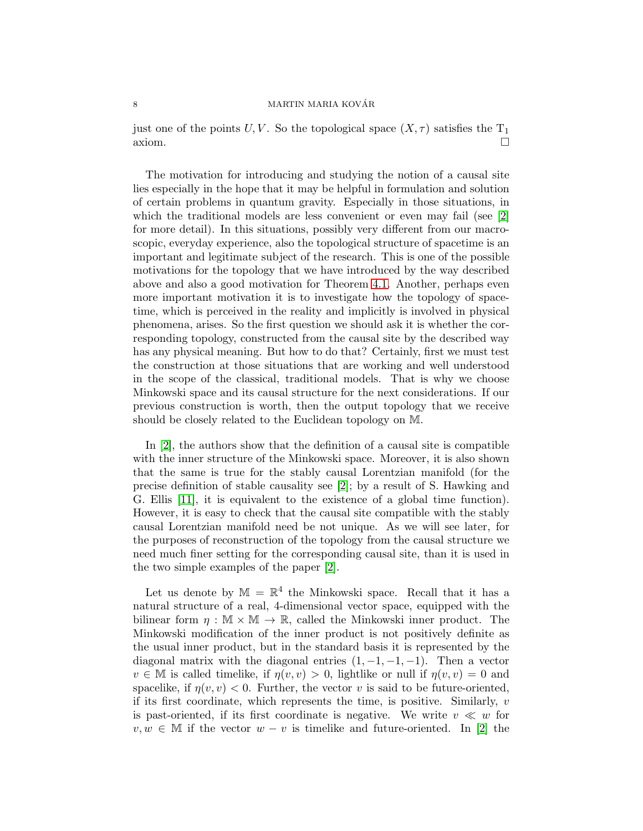## $\begin{array}{c}\n \text{MARTIN MARIA KOVÅR}\n \end{array}$

just one of the points U, V. So the topological space  $(X, \tau)$  satisfies the T<sub>1</sub>  $\Box$ axiom.

The motivation for introducing and studying the notion of a causal site lies especially in the hope that it may be helpful in formulation and solution of certain problems in quantum gravity. Especially in those situations, in which the traditional models are less convenient or even may fail (see [\[2\]](#page-14-11)) for more detail). In this situations, possibly very different from our macroscopic, everyday experience, also the topological structure of spacetime is an important and legitimate subject of the research. This is one of the possible motivations for the topology that we have introduced by the way described above and also a good motivation for Theorem [4.1.](#page-6-0) Another, perhaps even more important motivation it is to investigate how the topology of spacetime, which is perceived in the reality and implicitly is involved in physical phenomena, arises. So the first question we should ask it is whether the corresponding topology, constructed from the causal site by the described way has any physical meaning. But how to do that? Certainly, first we must test the construction at those situations that are working and well understood in the scope of the classical, traditional models. That is why we choose Minkowski space and its causal structure for the next considerations. If our previous construction is worth, then the output topology that we receive should be closely related to the Euclidean topology on M.

In [\[2\]](#page-14-11), the authors show that the definition of a causal site is compatible with the inner structure of the Minkowski space. Moreover, it is also shown that the same is true for the stably causal Lorentzian manifold (for the precise definition of stable causality see [\[2\]](#page-14-11); by a result of S. Hawking and G. Ellis [\[11\]](#page-14-12), it is equivalent to the existence of a global time function). However, it is easy to check that the causal site compatible with the stably causal Lorentzian manifold need be not unique. As we will see later, for the purposes of reconstruction of the topology from the causal structure we need much finer setting for the corresponding causal site, than it is used in the two simple examples of the paper [\[2\]](#page-14-11).

Let us denote by  $\mathbb{M} = \mathbb{R}^4$  the Minkowski space. Recall that it has a natural structure of a real, 4-dimensional vector space, equipped with the bilinear form  $\eta : \mathbb{M} \times \mathbb{M} \to \mathbb{R}$ , called the Minkowski inner product. The Minkowski modification of the inner product is not positively definite as the usual inner product, but in the standard basis it is represented by the diagonal matrix with the diagonal entries  $(1, -1, -1, -1)$ . Then a vector  $v \in M$  is called timelike, if  $\eta(v, v) > 0$ , lightlike or null if  $\eta(v, v) = 0$  and spacelike, if  $\eta(v, v) < 0$ . Further, the vector v is said to be future-oriented, if its first coordinate, which represents the time, is positive. Similarly,  $v$ is past-oriented, if its first coordinate is negative. We write  $v \ll w$  for  $v, w \in M$  if the vector  $w - v$  is timelike and future-oriented. In [\[2\]](#page-14-11) the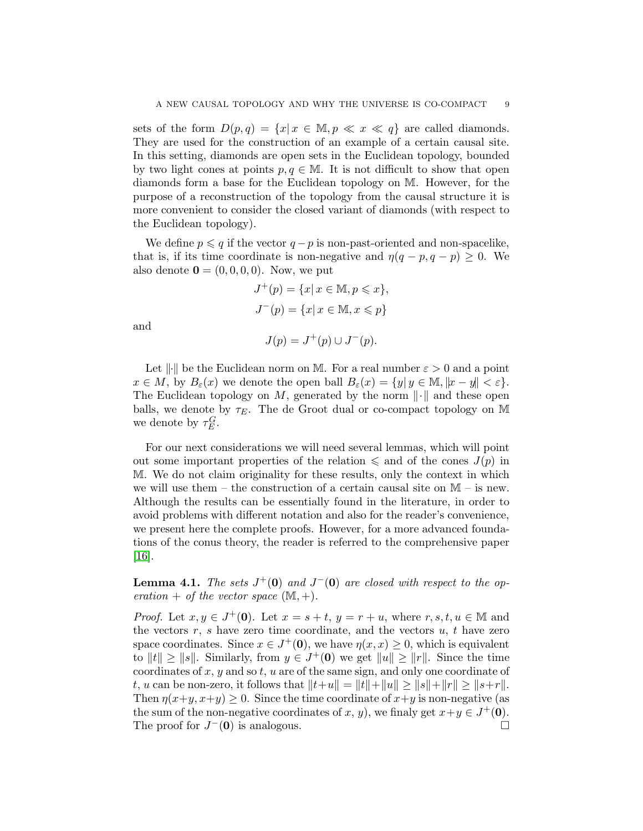sets of the form  $D(p,q) = \{x | x \in \mathbb{M}, p \ll x \ll q\}$  are called diamonds. They are used for the construction of an example of a certain causal site. In this setting, diamonds are open sets in the Euclidean topology, bounded by two light cones at points  $p, q \in \mathbb{M}$ . It is not difficult to show that open diamonds form a base for the Euclidean topology on M. However, for the purpose of a reconstruction of the topology from the causal structure it is more convenient to consider the closed variant of diamonds (with respect to the Euclidean topology).

We define  $p \leqslant q$  if the vector  $q - p$  is non-past-oriented and non-spacelike, that is, if its time coordinate is non-negative and  $\eta(q - p, q - p) \geq 0$ . We also denote  $\mathbf{0} = (0, 0, 0, 0)$ . Now, we put

$$
J^+(p) = \{x | x \in \mathbb{M}, p \leq x\},\
$$
  

$$
J^-(p) = \{x | x \in \mathbb{M}, x \leq p\}
$$

and

$$
J(p) = J^+(p) \cup J^-(p).
$$

Let  $\|\cdot\|$  be the Euclidean norm on M. For a real number  $\varepsilon > 0$  and a point  $x \in M$ , by  $B_{\varepsilon}(x)$  we denote the open ball  $B_{\varepsilon}(x) = \{y | y \in M, ||x - y|| < \varepsilon\}.$ The Euclidean topology on M, generated by the norm  $\lVert \cdot \rVert$  and these open balls, we denote by  $\tau_E$ . The de Groot dual or co-compact topology on M we denote by  $\tau_E^G$ .

For our next considerations we will need several lemmas, which will point out some important properties of the relation  $\leq$  and of the cones  $J(p)$  in M. We do not claim originality for these results, only the context in which we will use them – the construction of a certain causal site on  $M -$  is new. Although the results can be essentially found in the literature, in order to avoid problems with different notation and also for the reader's convenience, we present here the complete proofs. However, for a more advanced foundations of the conus theory, the reader is referred to the comprehensive paper [\[16\]](#page-14-13).

<span id="page-8-0"></span>**Lemma 4.1.** The sets  $J^+(0)$  and  $J^-(0)$  are closed with respect to the operation + of the vector space  $(\mathbb{M}, +)$ .

*Proof.* Let  $x, y \in J^+(0)$ . Let  $x = s + t$ ,  $y = r + u$ , where  $r, s, t, u \in \mathbb{M}$  and the vectors  $r, s$  have zero time coordinate, and the vectors  $u, t$  have zero space coordinates. Since  $x \in J^+(\mathbf{0})$ , we have  $\eta(x, x) \geq 0$ , which is equivalent to  $||t|| \ge ||s||$ . Similarly, from  $y \in J^+(0)$  we get  $||u|| \ge ||r||$ . Since the time coordinates of  $x, y$  and so  $t, u$  are of the same sign, and only one coordinate of t, u can be non-zero, it follows that  $||t+u|| = ||t|| + ||u|| \ge ||s|| + ||r|| \ge ||s+r||$ . Then  $\eta(x+y, x+y) \geq 0$ . Since the time coordinate of  $x+y$  is non-negative (as the sum of the non-negative coordinates of x, y), we finaly get  $x+y \in J^+(0)$ . The proof for  $J^-(0)$  is analogous.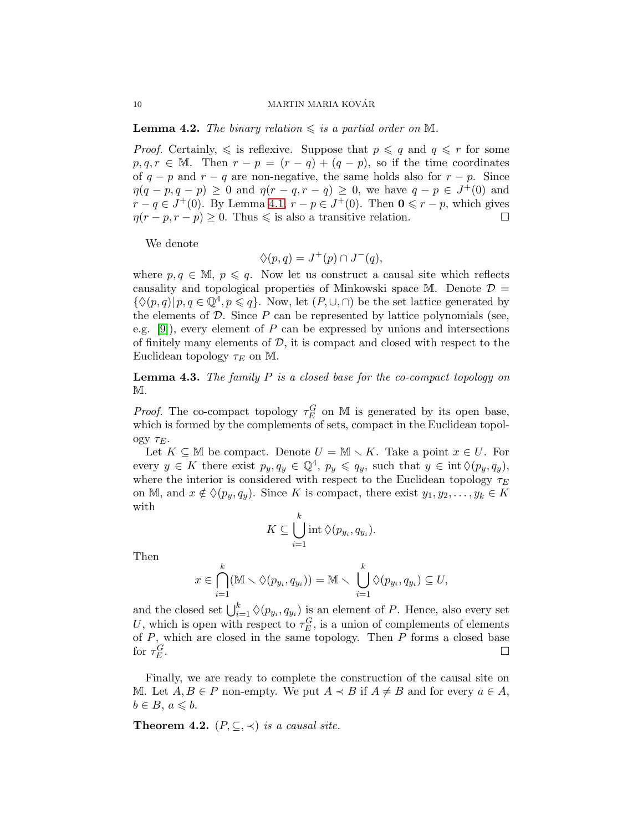**Lemma 4.2.** The binary relation  $\leq$  is a partial order on M.

*Proof.* Certainly,  $\leq$  is reflexive. Suppose that  $p \leq q$  and  $q \leq r$  for some  $p, q, r \in \mathbb{M}$ . Then  $r - p = (r - q) + (q - p)$ , so if the time coordinates of  $q - p$  and  $r - q$  are non-negative, the same holds also for  $r - p$ . Since  $\eta(q-p,q-p) \geq 0$  and  $\eta(r-q,r-q) \geq 0$ , we have  $q-p \in J^{\perp}(0)$  and  $r - q \in J^+(0)$ . By Lemma [4.1,](#page-8-0)  $r - p \in J^+(0)$ . Then  $\mathbf{0} \leq r - p$ , which gives  $\eta(r - p, r - p) \geq 0$ . Thus  $\leq$  is also a transitive relation.

We denote

$$
\Diamond(p,q) = J^+(p) \cap J^-(q),
$$

where  $p, q \in \mathbb{M}$ ,  $p \leq q$ . Now let us construct a causal site which reflects causality and topological properties of Minkowski space M. Denote  $\mathcal{D} =$  $\{\Diamond(p,q)| p,q \in \mathbb{Q}^4, p \leq q\}.$  Now, let  $(P,\cup,\cap)$  be the set lattice generated by the elements of  $D$ . Since  $P$  can be represented by lattice polynomials (see, e.g.  $[9]$ , every element of P can be expressed by unions and intersections of finitely many elements of  $D$ , it is compact and closed with respect to the Euclidean topology  $\tau_E$  on M.

**Lemma 4.3.** The family  $P$  is a closed base for the co-compact topology on M.

*Proof.* The co-compact topology  $\tau_E^G$  on M is generated by its open base, which is formed by the complements of sets, compact in the Euclidean topology  $\tau_E$ .

Let  $K \subseteq \mathbb{M}$  be compact. Denote  $U = \mathbb{M} \setminus K$ . Take a point  $x \in U$ . For every  $y \in K$  there exist  $p_y, q_y \in \mathbb{Q}^4$ ,  $p_y \leqslant q_y$ , such that  $y \in \text{int} \Diamond (p_y, q_y)$ , where the interior is considered with respect to the Euclidean topology  $\tau_E$ on M, and  $x \notin \Diamond(p_y, q_y)$ . Since K is compact, there exist  $y_1, y_2, \ldots, y_k \in K$ with

$$
K \subseteq \bigcup_{i=1}^k \operatorname{int} \Diamond(p_{y_i}, q_{y_i}).
$$

Then

$$
x \in \bigcap_{i=1}^k (\mathbb{M} \setminus \Diamond(p_{y_i}, q_{y_i})) = \mathbb{M} \setminus \bigcup_{i=1}^k \Diamond(p_{y_i}, q_{y_i}) \subseteq U,
$$

and the closed set  $\bigcup_{i=1}^{k} \Diamond(p_{y_i}, q_{y_i})$  is an element of P. Hence, also every set U, which is open with respect to  $\tau_E^G$ , is a union of complements of elements of  $P$ , which are closed in the same topology. Then  $P$  forms a closed base for  $\tau_E^G$ .

Finally, we are ready to complete the construction of the causal site on M. Let  $A, B \in P$  non-empty. We put  $A \prec B$  if  $A \neq B$  and for every  $a \in A$ ,  $b \in B, a \leqslant b.$ 

**Theorem 4.2.**  $(P, \subseteq, \prec)$  is a causal site.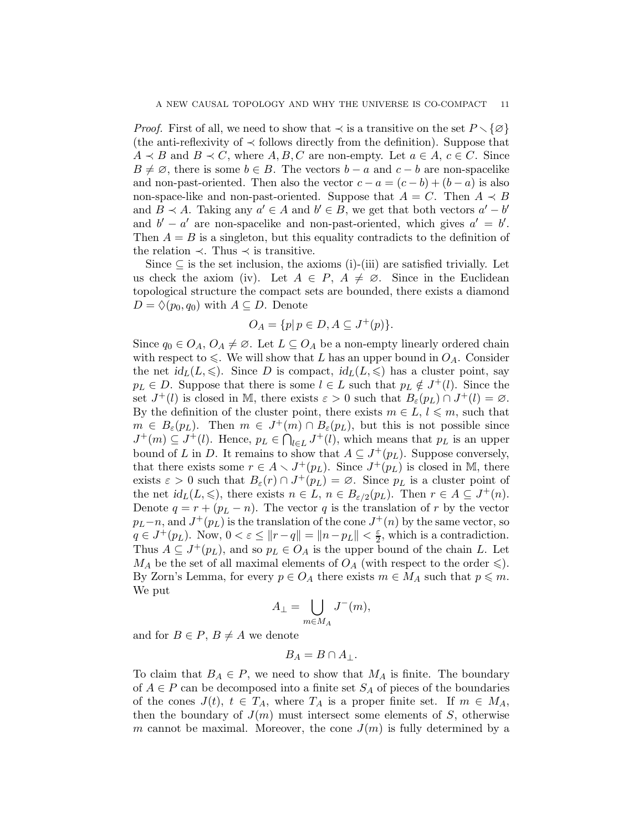*Proof.* First of all, we need to show that  $\prec$  is a transitive on the set  $P \setminus \{\emptyset\}$ (the anti-reflexivity of  $\prec$  follows directly from the definition). Suppose that  $A \prec B$  and  $B \prec C$ , where  $A, B, C$  are non-empty. Let  $a \in A, c \in C$ . Since  $B \neq \emptyset$ , there is some  $b \in B$ . The vectors  $b - a$  and  $c - b$  are non-spacelike and non-past-oriented. Then also the vector  $c - a = (c - b) + (b - a)$  is also non-space-like and non-past-oriented. Suppose that  $A = C$ . Then  $A \prec B$ and  $B \prec A$ . Taking any  $a' \in A$  and  $b' \in B$ , we get that both vectors  $a' - b'$ and  $b' - a'$  are non-spacelike and non-past-oriented, which gives  $a' = b'$ . Then  $A = B$  is a singleton, but this equality contradicts to the definition of the relation  $\prec$ . Thus  $\prec$  is transitive.

Since  $\subseteq$  is the set inclusion, the axioms (i)-(iii) are satisfied trivially. Let us check the axiom (iv). Let  $A \in P$ ,  $A \neq \emptyset$ . Since in the Euclidean topological structure the compact sets are bounded, there exists a diamond  $D = \Diamond (p_0, q_0)$  with  $A \subseteq D$ . Denote

$$
O_A = \{p | p \in D, A \subseteq J^+(p)\}.
$$

Since  $q_0 \in O_A$ ,  $O_A \neq \emptyset$ . Let  $L \subseteq O_A$  be a non-empty linearly ordered chain with respect to  $\leq$ . We will show that L has an upper bound in  $O<sub>A</sub>$ . Consider the net  $\mathrm{id}_L(L,\leqslant)$ . Since D is compact,  $\mathrm{id}_L(L,\leqslant)$  has a cluster point, say  $p_L \in D$ . Suppose that there is some  $l \in L$  such that  $p_L \notin J^+(l)$ . Since the set  $J^+(l)$  is closed in M, there exists  $\varepsilon > 0$  such that  $B_{\varepsilon}(p_L) \cap J^+(l) = \varnothing$ . By the definition of the cluster point, there exists  $m \in L, l \leqslant m$ , such that  $m \in B_{\varepsilon}(p_L)$ . Then  $m \in J^+(m) \cap B_{\varepsilon}(p_L)$ , but this is not possible since  $J^+(m) \subseteq J^+(l)$ . Hence,  $p_L \in \bigcap_{l \in L} J^+(l)$ , which means that  $p_L$  is an upper bound of L in D. It remains to show that  $A \subseteq J^+(p_L)$ . Suppose conversely, that there exists some  $r \in A \setminus J^+(p_L)$ . Since  $J^+(\overline{p}_L)$  is closed in M, there exists  $\varepsilon > 0$  such that  $B_{\varepsilon}(r) \cap J^+(p_L) = \varnothing$ . Since  $p_L$  is a cluster point of the net  $id_L(L, \leqslant)$ , there exists  $n \in L$ ,  $n \in B_{\varepsilon/2}(p_L)$ . Then  $r \in A \subseteq J^+(n)$ . Denote  $q = r + (p_L - n)$ . The vector q is the translation of r by the vector  $p_L - n$ , and  $J^+(p_L)$  is the translation of the cone  $J^+(n)$  by the same vector, so  $q \in J^+(p_L)$ . Now,  $0 < \varepsilon \le ||r-q|| = ||n-p_L|| < \frac{\varepsilon}{2}$ , which is a contradiction. Thus  $A \subseteq J^+(p_L)$ , and so  $p_L \in O_A$  is the upper bound of the chain L. Let  $M_A$  be the set of all maximal elements of  $O_A$  (with respect to the order  $\leqslant$ ). By Zorn's Lemma, for every  $p \in O_A$  there exists  $m \in M_A$  such that  $p \leq m$ . We put

$$
A_\perp = \bigcup_{m \in M_A} J^-(m),
$$

and for  $B \in P$ ,  $B \neq A$  we denote

$$
B_A=B\cap A_\perp.
$$

To claim that  $B_A \in P$ , we need to show that  $M_A$  is finite. The boundary of  $A \in P$  can be decomposed into a finite set  $S_A$  of pieces of the boundaries of the cones  $J(t)$ ,  $t \in T_A$ , where  $T_A$  is a proper finite set. If  $m \in M_A$ , then the boundary of  $J(m)$  must intersect some elements of S, otherwise m cannot be maximal. Moreover, the cone  $J(m)$  is fully determined by a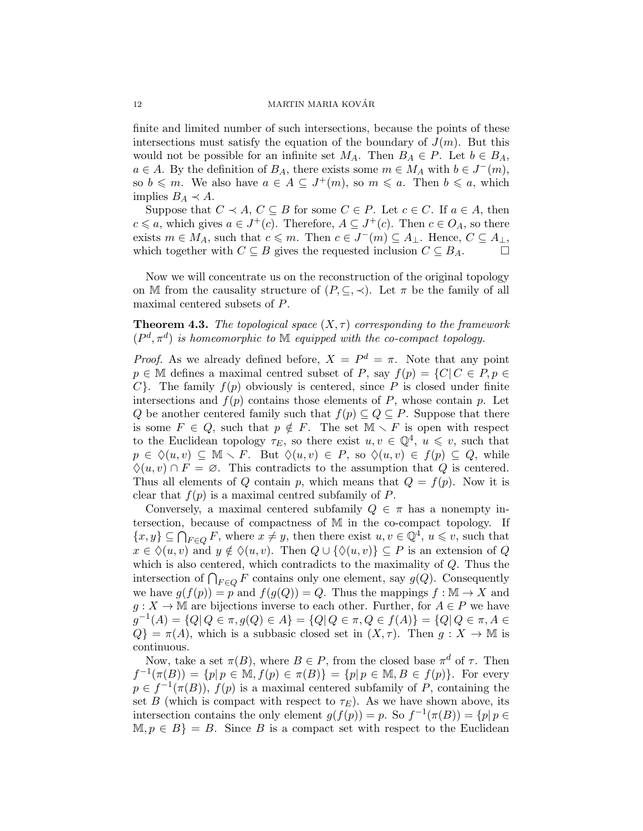#### 12 MARTIN MARIA KOVÁR

finite and limited number of such intersections, because the points of these intersections must satisfy the equation of the boundary of  $J(m)$ . But this would not be possible for an infinite set  $M_A$ . Then  $B_A \in P$ . Let  $b \in B_A$ ,  $a \in A$ . By the definition of  $B_A$ , there exists some  $m \in M_A$  with  $b \in J^-(m)$ , so  $b \leq m$ . We also have  $a \in A \subseteq J^+(m)$ , so  $m \leq a$ . Then  $b \leq a$ , which implies  $B_A \prec A$ .

Suppose that  $C \prec A, C \subseteq B$  for some  $C \in P$ . Let  $c \in C$ . If  $a \in A$ , then  $c \leq a$ , which gives  $a \in J^+(c)$ . Therefore,  $A \subseteq J^+(c)$ . Then  $c \in O_A$ , so there exists  $m \in M_A$ , such that  $c \leq m$ . Then  $c \in J^-(m) \subseteq A_\perp$ . Hence,  $C \subseteq A_\perp$ , which together with  $C \subseteq B$  gives the requested inclusion  $C \subseteq B_A$ .  $\Box$ 

Now we will concentrate us on the reconstruction of the original topology on M from the causality structure of  $(P, \subseteq, \prec)$ . Let  $\pi$  be the family of all maximal centered subsets of P.

# **Theorem 4.3.** The topological space  $(X, \tau)$  corresponding to the framework  $(P^d, \pi^d)$  is homeomorphic to M equipped with the co-compact topology.

*Proof.* As we already defined before,  $X = P^d = \pi$ . Note that any point  $p \in \mathbb{M}$  defines a maximal centred subset of P, say  $f(p) = \{C | C \in P, p \in$  $C$ . The family  $f(p)$  obviously is centered, since P is closed under finite intersections and  $f(p)$  contains those elements of P, whose contain p. Let Q be another centered family such that  $f(p) \subseteq Q \subseteq P$ . Suppose that there is some  $F \in Q$ , such that  $p \notin F$ . The set  $\mathbb{M} \setminus F$  is open with respect to the Euclidean topology  $\tau_E$ , so there exist  $u, v \in \mathbb{Q}^4$ ,  $u \leq v$ , such that  $p \in \Diamond(u, v) \subseteq \mathbb{M} \setminus F$ . But  $\Diamond(u, v) \in P$ , so  $\Diamond(u, v) \in f(p) \subseteq Q$ , while  $\Diamond(u, v) \cap F = \emptyset$ . This contradicts to the assumption that Q is centered. Thus all elements of Q contain p, which means that  $Q = f(p)$ . Now it is clear that  $f(p)$  is a maximal centred subfamily of P.

Conversely, a maximal centered subfamily  $Q \in \pi$  has a nonempty intersection, because of compactness of M in the co-compact topology. If  $\{x, y\} \subseteq \bigcap_{F \in Q} F$ , where  $x \neq y$ , then there exist  $u, v \in \mathbb{Q}^4$ ,  $u \leqslant v$ , such that  $x \in \Diamond(u, v)$  and  $y \notin \Diamond(u, v)$ . Then  $Q \cup \{\Diamond(u, v)\} \subseteq P$  is an extension of Q which is also centered, which contradicts to the maximality of Q. Thus the intersection of  $\bigcap_{F\in Q} F$  contains only one element, say  $g(Q)$ . Consequently we have  $g(f(p)) = p$  and  $f(g(Q)) = Q$ . Thus the mappings  $f : \mathbb{M} \to X$  and  $g: X \to \mathbb{M}$  are bijections inverse to each other. Further, for  $A \in P$  we have  $g^{-1}(A) = \{Q | Q \in \pi, g(Q) \in A\} = \{Q | Q \in \pi, Q \in f(A)\} = \{Q | Q \in \pi, A \in A\}$  $Q$ } =  $\pi(A)$ , which is a subbasic closed set in  $(X, \tau)$ . Then  $g: X \to \mathbb{M}$  is continuous.

Now, take a set  $\pi(B)$ , where  $B \in P$ , from the closed base  $\pi^d$  of  $\tau$ . Then  $f^{-1}(\pi(B)) = \{p | p \in M, f(p) \in \pi(B)\} = \{p | p \in M, B \in f(p)\}.$  For every  $p \in f^{-1}(\pi(B)), f(p)$  is a maximal centered subfamily of P, containing the set B (which is compact with respect to  $\tau_E$ ). As we have shown above, its intersection contains the only element  $g(f(p)) = p$ . So  $f^{-1}(\pi(B)) = \{p | p \in$  $M, p \in B$  = B. Since B is a compact set with respect to the Euclidean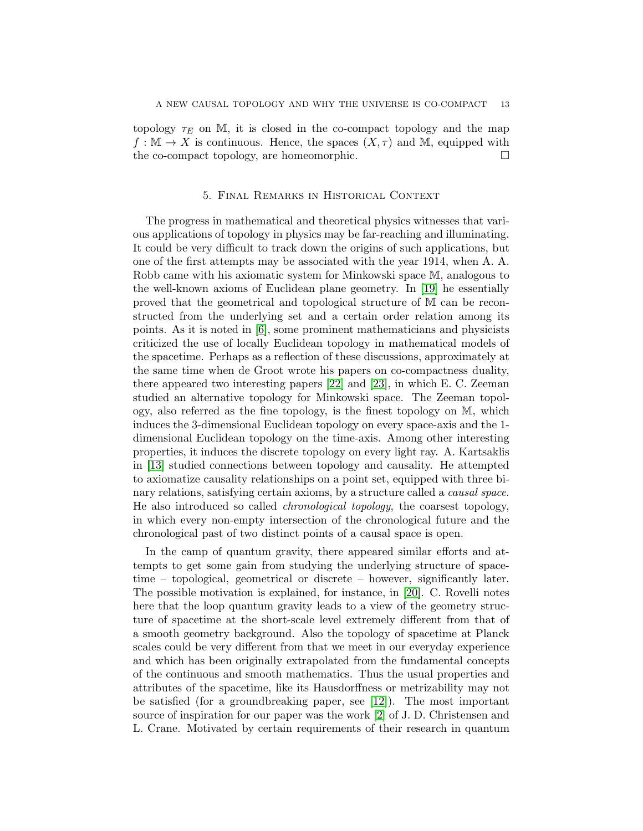topology  $\tau_E$  on M, it is closed in the co-compact topology and the map  $f : \mathbb{M} \to X$  is continuous. Hence, the spaces  $(X, \tau)$  and M, equipped with the co-compact topology, are homeomorphic.

# 5. Final Remarks in Historical Context

The progress in mathematical and theoretical physics witnesses that various applications of topology in physics may be far-reaching and illuminating. It could be very difficult to track down the origins of such applications, but one of the first attempts may be associated with the year 1914, when A. A. Robb came with his axiomatic system for Minkowski space M, analogous to the well-known axioms of Euclidean plane geometry. In [\[19\]](#page-14-15) he essentially proved that the geometrical and topological structure of M can be reconstructed from the underlying set and a certain order relation among its points. As it is noted in [\[6\]](#page-14-16), some prominent mathematicians and physicists criticized the use of locally Euclidean topology in mathematical models of the spacetime. Perhaps as a reflection of these discussions, approximately at the same time when de Groot wrote his papers on co-compactness duality, there appeared two interesting papers [\[22\]](#page-14-17) and [\[23\]](#page-14-18), in which E. C. Zeeman studied an alternative topology for Minkowski space. The Zeeman topology, also referred as the fine topology, is the finest topology on M, which induces the 3-dimensional Euclidean topology on every space-axis and the 1 dimensional Euclidean topology on the time-axis. Among other interesting properties, it induces the discrete topology on every light ray. A. Kartsaklis in [\[13\]](#page-14-19) studied connections between topology and causality. He attempted to axiomatize causality relationships on a point set, equipped with three binary relations, satisfying certain axioms, by a structure called a *causal space*. He also introduced so called chronological topology, the coarsest topology, in which every non-empty intersection of the chronological future and the chronological past of two distinct points of a causal space is open.

In the camp of quantum gravity, there appeared similar efforts and attempts to get some gain from studying the underlying structure of spacetime – topological, geometrical or discrete – however, significantly later. The possible motivation is explained, for instance, in [\[20\]](#page-14-20). C. Rovelli notes here that the loop quantum gravity leads to a view of the geometry structure of spacetime at the short-scale level extremely different from that of a smooth geometry background. Also the topology of spacetime at Planck scales could be very different from that we meet in our everyday experience and which has been originally extrapolated from the fundamental concepts of the continuous and smooth mathematics. Thus the usual properties and attributes of the spacetime, like its Hausdorffness or metrizability may not be satisfied (for a groundbreaking paper, see [\[12\]](#page-14-2)). The most important source of inspiration for our paper was the work [\[2\]](#page-14-11) of J. D. Christensen and L. Crane. Motivated by certain requirements of their research in quantum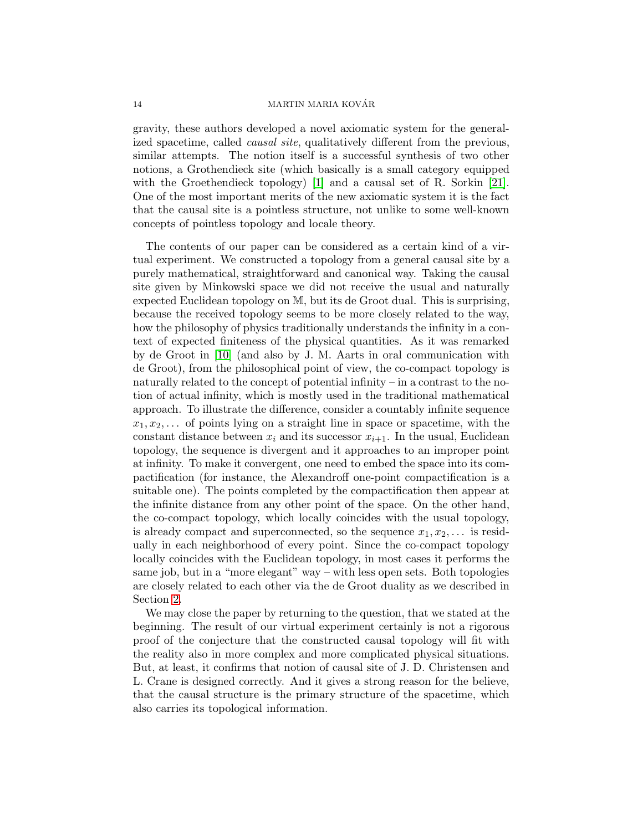#### 14 MARTIN MARIA KOVAR´

gravity, these authors developed a novel axiomatic system for the generalized spacetime, called causal site, qualitatively different from the previous, similar attempts. The notion itself is a successful synthesis of two other notions, a Grothendieck site (which basically is a small category equipped with the Groethendieck topology) [\[1\]](#page-14-21) and a causal set of R. Sorkin [\[21\]](#page-14-22). One of the most important merits of the new axiomatic system it is the fact that the causal site is a pointless structure, not unlike to some well-known concepts of pointless topology and locale theory.

The contents of our paper can be considered as a certain kind of a virtual experiment. We constructed a topology from a general causal site by a purely mathematical, straightforward and canonical way. Taking the causal site given by Minkowski space we did not receive the usual and naturally expected Euclidean topology on M, but its de Groot dual. This is surprising, because the received topology seems to be more closely related to the way, how the philosophy of physics traditionally understands the infinity in a context of expected finiteness of the physical quantities. As it was remarked by de Groot in [\[10\]](#page-14-3) (and also by J. M. Aarts in oral communication with de Groot), from the philosophical point of view, the co-compact topology is naturally related to the concept of potential infinity – in a contrast to the notion of actual infinity, which is mostly used in the traditional mathematical approach. To illustrate the difference, consider a countably infinite sequence  $x_1, x_2, \ldots$  of points lying on a straight line in space or spacetime, with the constant distance between  $x_i$  and its successor  $x_{i+1}$ . In the usual, Euclidean topology, the sequence is divergent and it approaches to an improper point at infinity. To make it convergent, one need to embed the space into its compactification (for instance, the Alexandroff one-point compactification is a suitable one). The points completed by the compactification then appear at the infinite distance from any other point of the space. On the other hand, the co-compact topology, which locally coincides with the usual topology, is already compact and superconnected, so the sequence  $x_1, x_2, \ldots$  is residually in each neighborhood of every point. Since the co-compact topology locally coincides with the Euclidean topology, in most cases it performs the same job, but in a "more elegant" way – with less open sets. Both topologies are closely related to each other via the de Groot duality as we described in Section [2.](#page-1-0)

We may close the paper by returning to the question, that we stated at the beginning. The result of our virtual experiment certainly is not a rigorous proof of the conjecture that the constructed causal topology will fit with the reality also in more complex and more complicated physical situations. But, at least, it confirms that notion of causal site of J. D. Christensen and L. Crane is designed correctly. And it gives a strong reason for the believe, that the causal structure is the primary structure of the spacetime, which also carries its topological information.